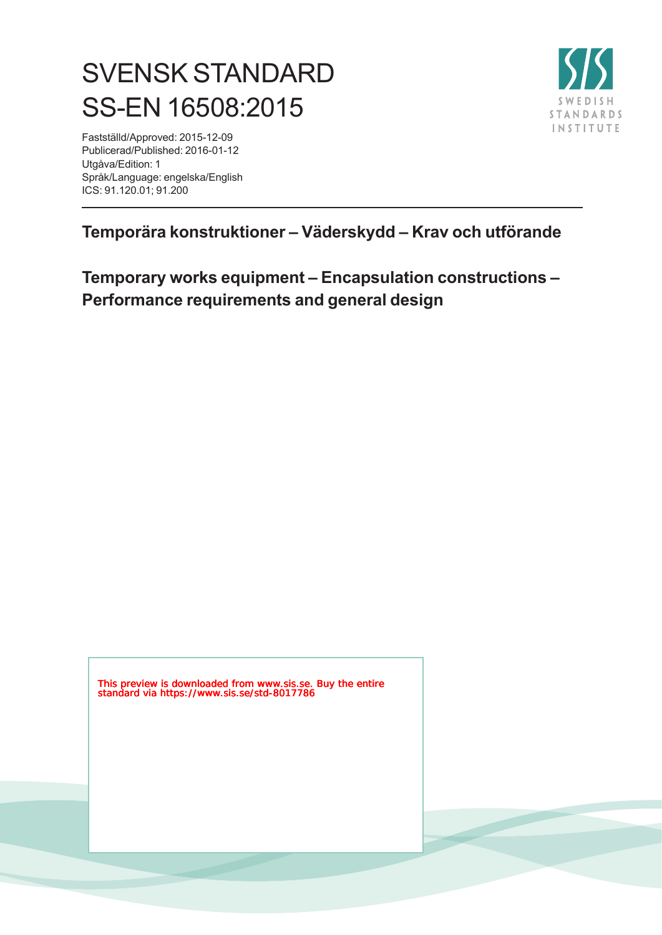# SVENSK STANDARD SS-EN 16508:2015



Fastställd/Approved: 2015-12-09 Publicerad/Published: 2016-01-12 Utgåva/Edition: 1 Språk/Language: engelska/English ICS: 91.120.01; 91.200

## **Temporära konstruktioner – Väderskydd – Krav och utförande**

**Temporary works equipment – Encapsulation constructions – Performance requirements and general design**

This preview is downloaded from www.sis.se. Buy the entire standard via https://www.sis.se/std-8017786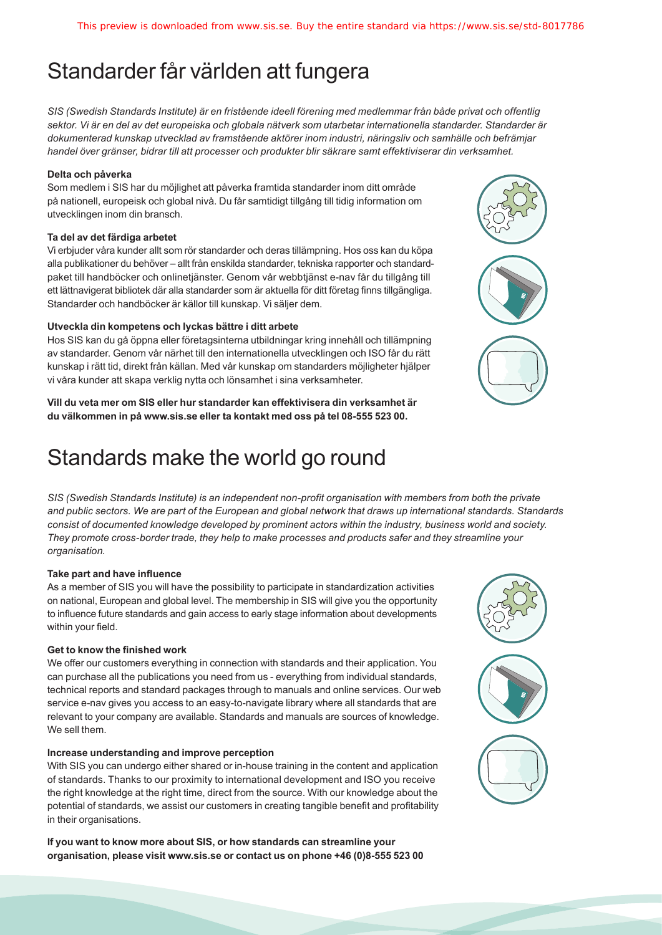# Standarder får världen att fungera

*SIS (Swedish Standards Institute) är en fristående ideell förening med medlemmar från både privat och offentlig sektor. Vi är en del av det europeiska och globala nätverk som utarbetar internationella standarder. Standarder är dokumenterad kunskap utvecklad av framstående aktörer inom industri, näringsliv och samhälle och befrämjar handel över gränser, bidrar till att processer och produkter blir säkrare samt effektiviserar din verksamhet.* 

#### **Delta och påverka**

Som medlem i SIS har du möjlighet att påverka framtida standarder inom ditt område på nationell, europeisk och global nivå. Du får samtidigt tillgång till tidig information om utvecklingen inom din bransch.

#### **Ta del av det färdiga arbetet**

Vi erbjuder våra kunder allt som rör standarder och deras tillämpning. Hos oss kan du köpa alla publikationer du behöver – allt från enskilda standarder, tekniska rapporter och standardpaket till handböcker och onlinetjänster. Genom vår webbtjänst e-nav får du tillgång till ett lättnavigerat bibliotek där alla standarder som är aktuella för ditt företag finns tillgängliga. Standarder och handböcker är källor till kunskap. Vi säljer dem.

#### **Utveckla din kompetens och lyckas bättre i ditt arbete**

Hos SIS kan du gå öppna eller företagsinterna utbildningar kring innehåll och tillämpning av standarder. Genom vår närhet till den internationella utvecklingen och ISO får du rätt kunskap i rätt tid, direkt från källan. Med vår kunskap om standarders möjligheter hjälper vi våra kunder att skapa verklig nytta och lönsamhet i sina verksamheter.

**Vill du veta mer om SIS eller hur standarder kan effektivisera din verksamhet är du välkommen in på www.sis.se eller ta kontakt med oss på tel 08-555 523 00.**

# Standards make the world go round

*SIS (Swedish Standards Institute) is an independent non-profit organisation with members from both the private and public sectors. We are part of the European and global network that draws up international standards. Standards consist of documented knowledge developed by prominent actors within the industry, business world and society. They promote cross-border trade, they help to make processes and products safer and they streamline your organisation.*

#### **Take part and have influence**

As a member of SIS you will have the possibility to participate in standardization activities on national, European and global level. The membership in SIS will give you the opportunity to influence future standards and gain access to early stage information about developments within your field.

#### **Get to know the finished work**

We offer our customers everything in connection with standards and their application. You can purchase all the publications you need from us - everything from individual standards, technical reports and standard packages through to manuals and online services. Our web service e-nav gives you access to an easy-to-navigate library where all standards that are relevant to your company are available. Standards and manuals are sources of knowledge. We sell them.

#### **Increase understanding and improve perception**

With SIS you can undergo either shared or in-house training in the content and application of standards. Thanks to our proximity to international development and ISO you receive the right knowledge at the right time, direct from the source. With our knowledge about the potential of standards, we assist our customers in creating tangible benefit and profitability in their organisations.

**If you want to know more about SIS, or how standards can streamline your organisation, please visit www.sis.se or contact us on phone +46 (0)8-555 523 00**



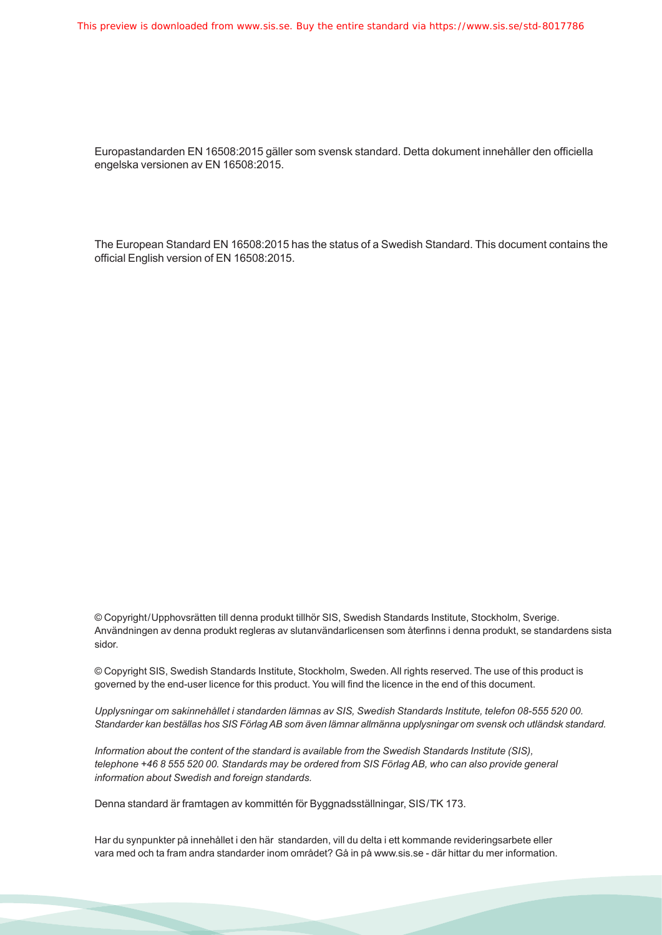Europastandarden EN 16508:2015 gäller som svensk standard. Detta dokument innehåller den officiella engelska versionen av EN 16508:2015.

The European Standard EN 16508:2015 has the status of a Swedish Standard. This document contains the official English version of EN 16508:2015.

© Copyright / Upphovsrätten till denna produkt tillhör SIS, Swedish Standards Institute, Stockholm, Sverige. Användningen av denna produkt regleras av slutanvändarlicensen som återfinns i denna produkt, se standardens sista sidor.

© Copyright SIS, Swedish Standards Institute, Stockholm, Sweden. All rights reserved. The use of this product is governed by the end-user licence for this product. You will find the licence in the end of this document.

*Upplysningar om sakinnehållet i standarden lämnas av SIS, Swedish Standards Institute, telefon 08-555 520 00. Standarder kan beställas hos SIS Förlag AB som även lämnar allmänna upplysningar om svensk och utländsk standard.*

*Information about the content of the standard is available from the Swedish Standards Institute (SIS), telephone +46 8 555 520 00. Standards may be ordered from SIS Förlag AB, who can also provide general information about Swedish and foreign standards.*

Denna standard är framtagen av kommittén för Byggnadsställningar, SIS / TK 173.

Har du synpunkter på innehållet i den här standarden, vill du delta i ett kommande revideringsarbete eller vara med och ta fram andra standarder inom området? Gå in på www.sis.se - där hittar du mer information.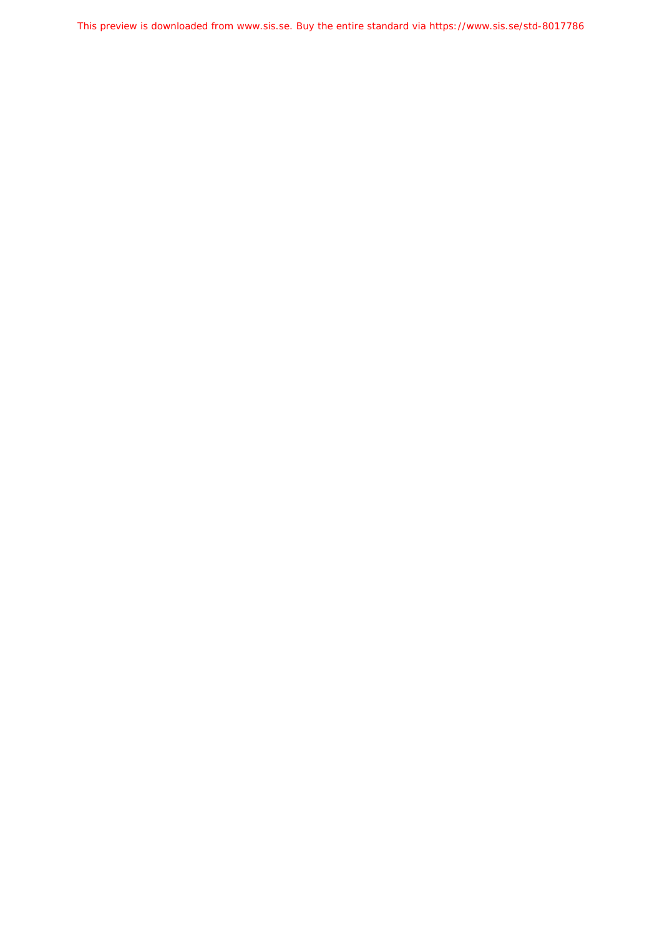This preview is downloaded from www.sis.se. Buy the entire standard via https://www.sis.se/std-8017786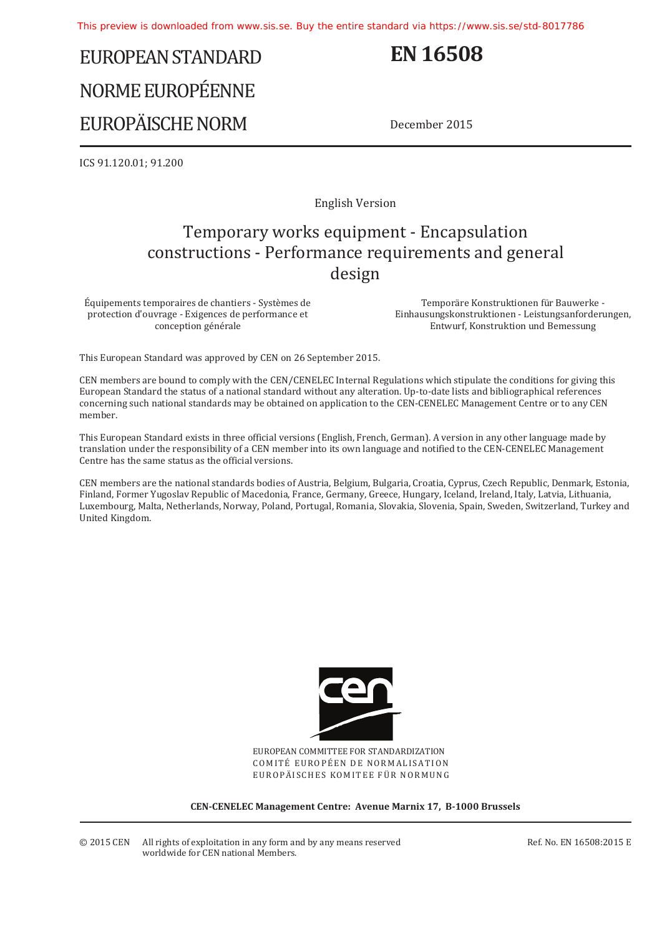# EUROPEAN STANDARD NORME EUROPÉENNE EUROPÄISCHE NORM

## **EN 16508**

December 2015

ICS 91.120.01; 91.200

English Version

## Temporary works equipment - Encapsulation constructions - Performance requirements and general design

Équipements temporaires de chantiers - Systèmes de protection d'ouvrage - Exigences de performance et conception générale

Temporäre Konstruktionen für Bauwerke - Einhausungskonstruktionen - Leistungsanforderungen, Entwurf, Konstruktion und Bemessung

This European Standard was approved by CEN on 26 September 2015.

CEN members are bound to comply with the CEN/CENELEC Internal Regulations which stipulate the conditions for giving this European Standard the status of a national standard without any alteration. Up-to-date lists and bibliographical references concerning such national standards may be obtained on application to the CEN-CENELEC Management Centre or to any CEN member.

This European Standard exists in three official versions (English, French, German). A version in any other language made by translation under the responsibility of a CEN member into its own language and notified to the CEN-CENELEC Management Centre has the same status as the official versions.

CEN members are the national standards bodies of Austria, Belgium, Bulgaria, Croatia, Cyprus, Czech Republic, Denmark, Estonia, Finland, Former Yugoslav Republic of Macedonia, France, Germany, Greece, Hungary, Iceland, Ireland, Italy, Latvia, Lithuania, Luxembourg, Malta, Netherlands, Norway, Poland, Portugal, Romania, Slovakia, Slovenia, Spain, Sweden, Switzerland, Turkey and United Kingdom.



EUROPEAN COMMITTEE FOR STANDARDIZATION COMITÉ EUROPÉEN DE NORMALISATION EUROPÄISCHES KOMITEE FÜR NORMUNG

**CEN-CENELEC Management Centre: Avenue Marnix 17, B-1000 Brussels**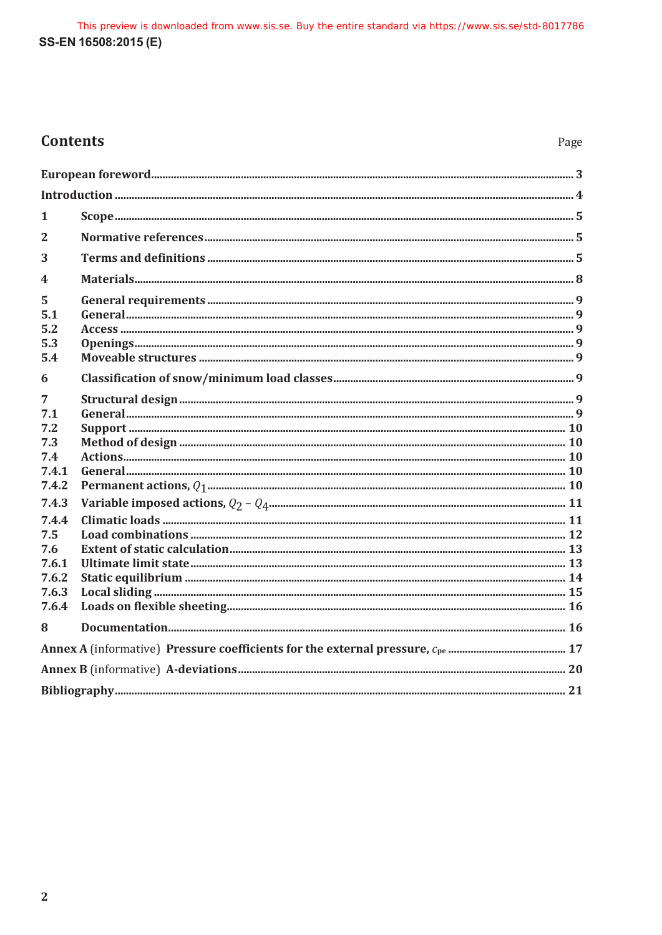## **Contents**

| 1     |  |  |
|-------|--|--|
| 2     |  |  |
| 3     |  |  |
| 4     |  |  |
| 5     |  |  |
| 5.1   |  |  |
| 5.2   |  |  |
| 5.3   |  |  |
| 5.4   |  |  |
| 6     |  |  |
| 7     |  |  |
| 7.1   |  |  |
| 7.2   |  |  |
| 7.3   |  |  |
| 7.4   |  |  |
| 7.4.1 |  |  |
| 7.4.2 |  |  |
| 7.4.3 |  |  |
| 7.4.4 |  |  |
| 7.5   |  |  |
| 7.6   |  |  |
| 7.6.1 |  |  |
| 7.6.2 |  |  |
| 7.6.3 |  |  |
| 7.6.4 |  |  |
| 8     |  |  |
|       |  |  |
|       |  |  |
|       |  |  |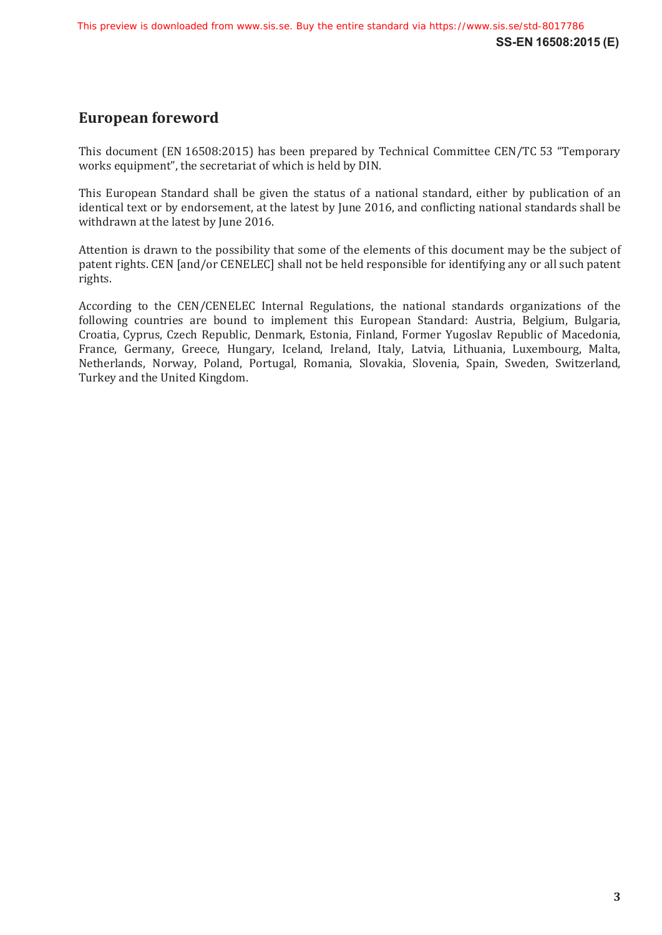## **European foreword**

This document (EN 16508:2015) has been prepared by Technical Committee CEN/TC 53 "Temporary works equipment", the secretariat of which is held by DIN.

This European Standard shall be given the status of a national standard, either by publication of an identical text or by endorsement, at the latest by June 2016, and conflicting national standards shall be withdrawn at the latest by June 2016.

Attention is drawn to the possibility that some of the elements of this document may be the subject of patent rights. CEN [and/or CENELEC] shall not be held responsible for identifying any or all such patent rights.

According to the CEN/CENELEC Internal Regulations, the national standards organizations of the following countries are bound to implement this European Standard: Austria, Belgium, Bulgaria, Croatia, Cyprus, Czech Republic, Denmark, Estonia, Finland, Former Yugoslav Republic of Macedonia, France, Germany, Greece, Hungary, Iceland, Ireland, Italy, Latvia, Lithuania, Luxembourg, Malta, Netherlands, Norway, Poland, Portugal, Romania, Slovakia, Slovenia, Spain, Sweden, Switzerland, Turkey and the United Kingdom.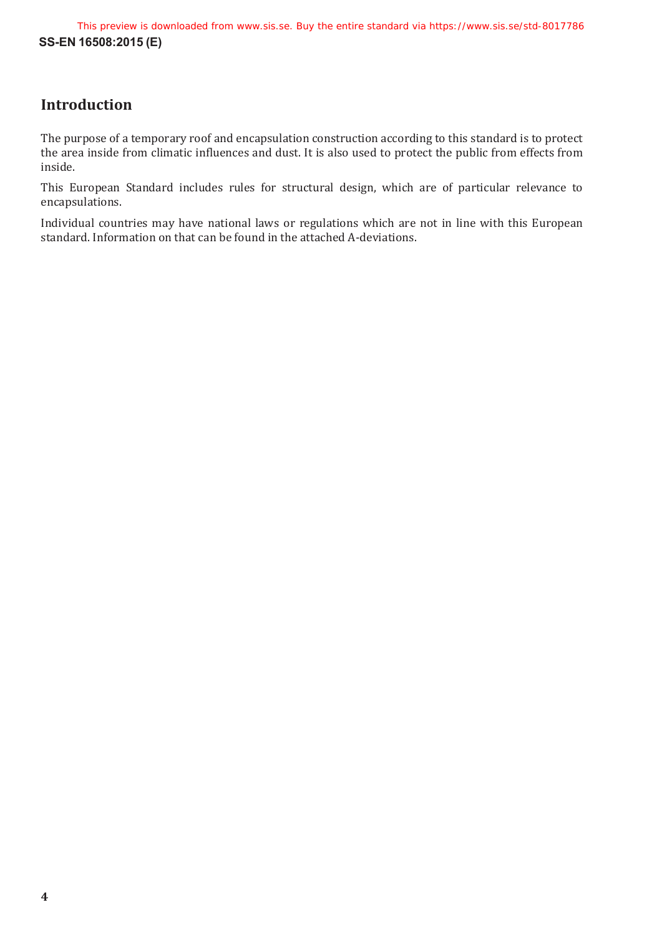## **Introduction**

The purpose of a temporary roof and encapsulation construction according to this standard is to protect the area inside from climatic influences and dust. It is also used to protect the public from effects from inside.

This European Standard includes rules for structural design, which are of particular relevance to encapsulations.

Individual countries may have national laws or regulations which are not in line with this European standard. Information on that can be found in the attached A-deviations.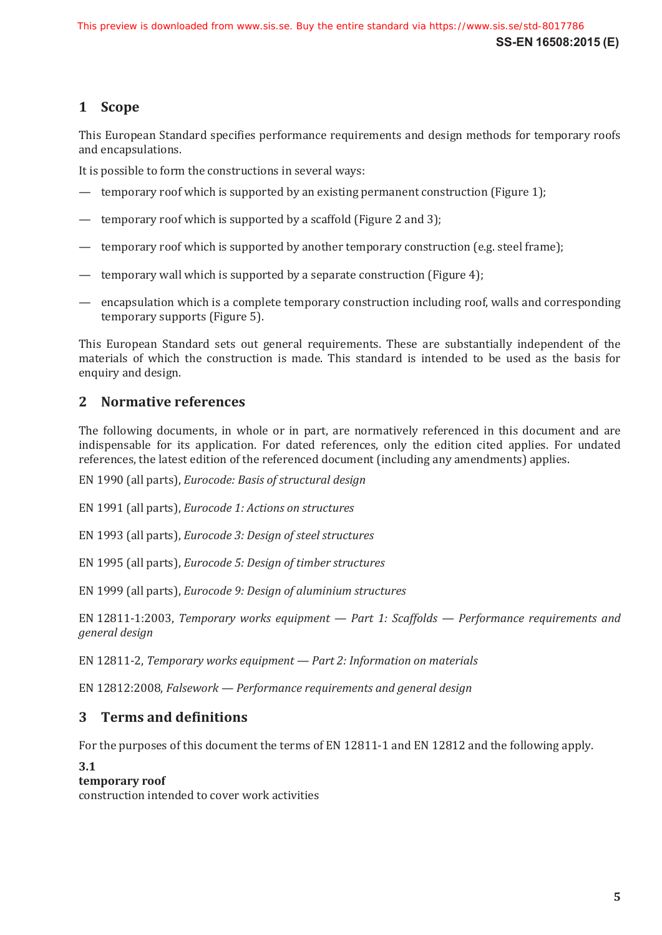## **1 Scope**

This European Standard specifies performance requirements and design methods for temporary roofs and encapsulations.

It is possible to form the constructions in several ways:

- temporary roof which is supported by an existing permanent construction (Figure 1);
- temporary roof which is supported by a scaffold (Figure 2 and 3);
- temporary roof which is supported by another temporary construction (e.g. steel frame);
- temporary wall which is supported by a separate construction (Figure 4);
- encapsulation which is a complete temporary construction including roof, walls and corresponding temporary supports (Figure 5).

This European Standard sets out general requirements. These are substantially independent of the materials of which the construction is made. This standard is intended to be used as the basis for enquiry and design.

## **2 Normative references**

The following documents, in whole or in part, are normatively referenced in this document and are indispensable for its application. For dated references, only the edition cited applies. For undated references, the latest edition of the referenced document (including any amendments) applies.

EN 1990 (all parts), *Eurocode: Basis of structural design*

EN 1991 (all parts), *Eurocode 1: Actions on structures*

EN 1993 (all parts), *Eurocode 3: Design of steel structures*

EN 1995 (all parts), *Eurocode 5: Design of timber structures*

EN 1999 (all parts), *Eurocode 9: Design of aluminium structures*

EN 12811-1:2003, *Temporary works equipment — Part 1: Scaffolds — Performance requirements and general design*

EN 12811-2, *Temporary works equipment — Part 2: Information on materials*

EN 12812:2008, *Falsework — Performance requirements and general design*

## **3 Terms and definitions**

For the purposes of this document the terms of EN 12811-1 and EN 12812 and the following apply.

### **3.1**

### **temporary roof**

construction intended to cover work activities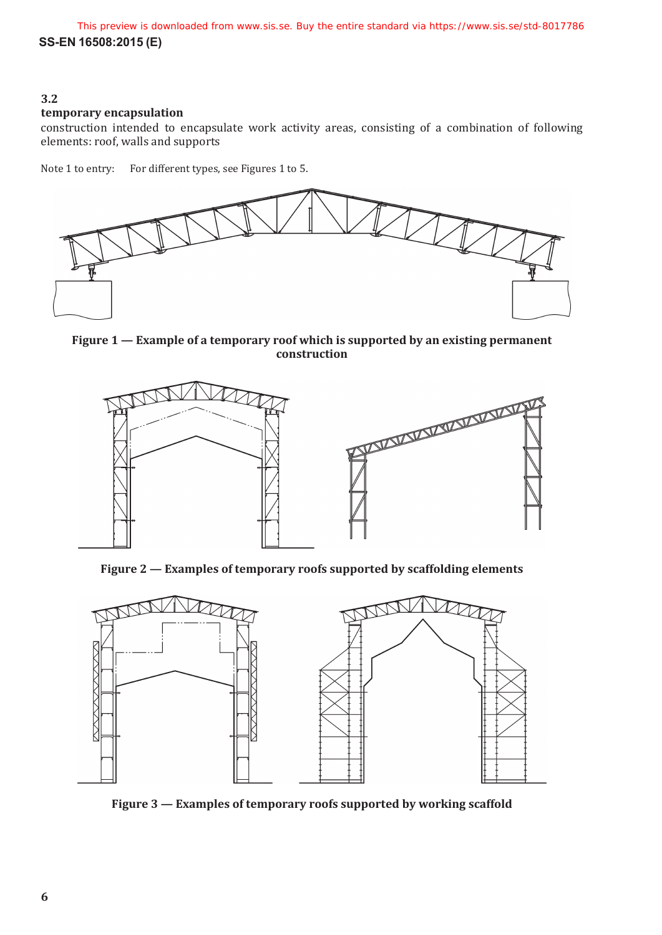## **3.2**

#### **temporary encapsulation**

construction intended to encapsulate work activity areas, consisting of a combination of following elements: roof, walls and supports

Note 1 to entry: For different types, see Figures 1 to 5.



**Figure 1 — Example of a temporary roof which is supported by an existing permanent construction**



**Figure 2 — Examples of temporary roofs supported by scaffolding elements**



**Figure 3 — Examples of temporary roofs supported by working scaffold**